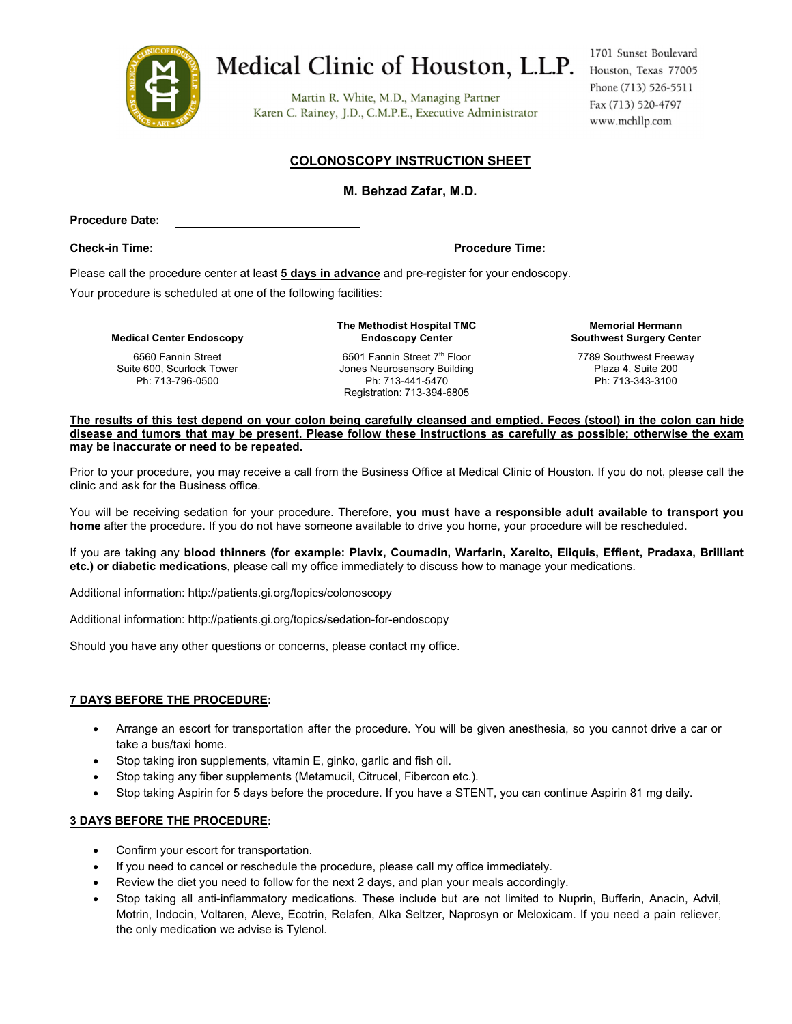

# Medical Clinic of Houston, L.L.P.

Martin R. White, M.D., Managing Partner Karen C. Rainey, J.D., C.M.P.E., Executive Administrator

1701 Sunset Boulevard Houston, Texas 77005 Phone (713) 526-5511 Fax (713) 520-4797 www.mchllp.com

### **COLONOSCOPY INSTRUCTION SHEET**

#### **M. Behzad Zafar, M.D.**

**Procedure Date:** 

**Check-in Time: Procedure Time:** 

Please call the procedure center at least **5 days in advance** and pre-register for your endoscopy.

Your procedure is scheduled at one of the following facilities:

**Medical Center Endoscopy**

6560 Fannin Street Suite 600, Scurlock Tower Ph: 713-796-0500

**The Methodist Hospital TMC Endoscopy Center**

6501 Fannin Street 7<sup>th</sup> Floor Jones Neurosensory Building Ph: 713-441-5470 Registration: 713-394-6805

**Memorial Hermann Southwest Surgery Center**

7789 Southwest Freeway Plaza 4, Suite 200 Ph: 713-343-3100

**The results of this test depend on your colon being carefully cleansed and emptied. Feces (stool) in the colon can hide disease and tumors that may be present. Please follow these instructions as carefully as possible; otherwise the exam may be inaccurate or need to be repeated.**

Prior to your procedure, you may receive a call from the Business Office at Medical Clinic of Houston. If you do not, please call the clinic and ask for the Business office.

You will be receiving sedation for your procedure. Therefore, **you must have a responsible adult available to transport you home** after the procedure. If you do not have someone available to drive you home, your procedure will be rescheduled.

If you are taking any **blood thinners (for example: Plavix, Coumadin, Warfarin, Xarelto, Eliquis, Effient, Pradaxa, Brilliant etc.) or diabetic medications**, please call my office immediately to discuss how to manage your medications.

Additional information: http://patients.gi.org/topics/colonoscopy

Additional information: http://patients.gi.org/topics/sedation-for-endoscopy

Should you have any other questions or concerns, please contact my office.

#### **7 DAYS BEFORE THE PROCEDURE:**

- Arrange an escort for transportation after the procedure. You will be given anesthesia, so you cannot drive a car or take a bus/taxi home.
- Stop taking iron supplements, vitamin E, ginko, garlic and fish oil.
- Stop taking any fiber supplements (Metamucil, Citrucel, Fibercon etc.).
- Stop taking Aspirin for 5 days before the procedure. If you have a STENT, you can continue Aspirin 81 mg daily.

#### **3 DAYS BEFORE THE PROCEDURE:**

- Confirm your escort for transportation.
- If you need to cancel or reschedule the procedure, please call my office immediately.
- Review the diet you need to follow for the next 2 days, and plan your meals accordingly.
- Stop taking all anti-inflammatory medications. These include but are not limited to Nuprin, Bufferin, Anacin, Advil, Motrin, Indocin, Voltaren, Aleve, Ecotrin, Relafen, Alka Seltzer, Naprosyn or Meloxicam. If you need a pain reliever, the only medication we advise is Tylenol.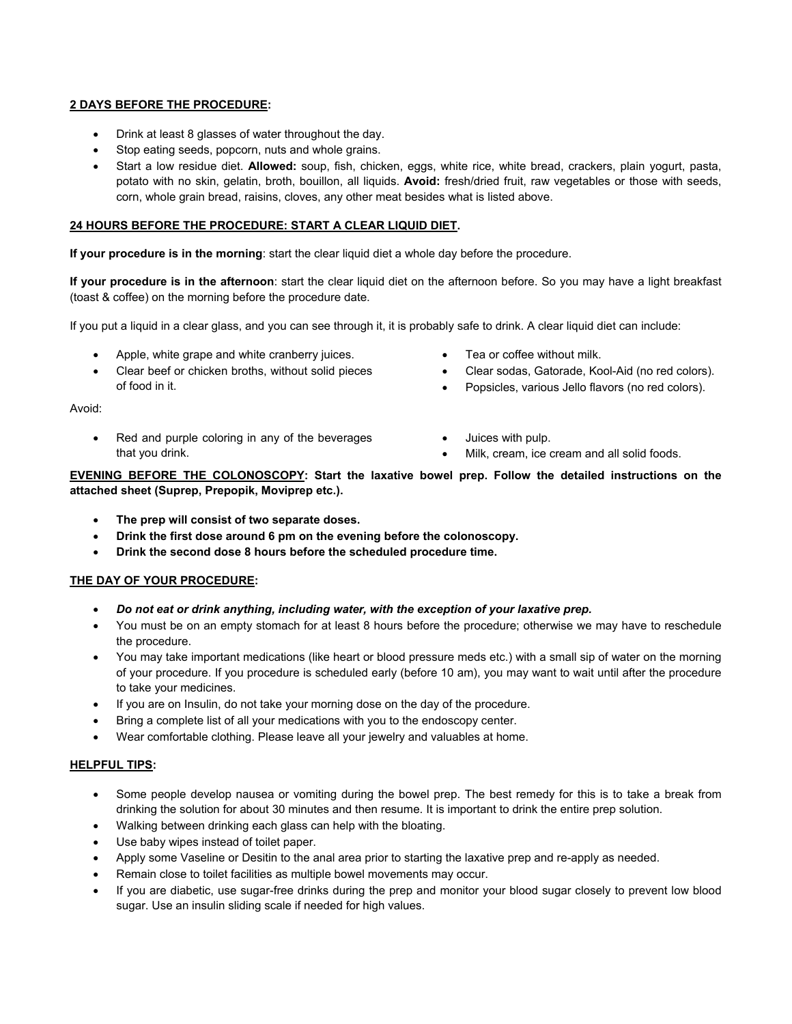#### **2 DAYS BEFORE THE PROCEDURE:**

- Drink at least 8 glasses of water throughout the day.
- Stop eating seeds, popcorn, nuts and whole grains.
- Start a low residue diet. **Allowed:** soup, fish, chicken, eggs, white rice, white bread, crackers, plain yogurt, pasta, potato with no skin, gelatin, broth, bouillon, all liquids. **Avoid:** fresh/dried fruit, raw vegetables or those with seeds, corn, whole grain bread, raisins, cloves, any other meat besides what is listed above.

#### **24 HOURS BEFORE THE PROCEDURE: START A CLEAR LIQUID DIET.**

**If your procedure is in the morning**: start the clear liquid diet a whole day before the procedure.

**If your procedure is in the afternoon**: start the clear liquid diet on the afternoon before. So you may have a light breakfast (toast & coffee) on the morning before the procedure date.

If you put a liquid in a clear glass, and you can see through it, it is probably safe to drink. A clear liquid diet can include:

- Apple, white grape and white cranberry juices.
- Clear beef or chicken broths, without solid pieces of food in it.
- Tea or coffee without milk.
- Clear sodas, Gatorade, Kool-Aid (no red colors).
- Popsicles, various Jello flavors (no red colors).

Avoid:

- Red and purple coloring in any of the beverages that you drink.
- Juices with pulp.
- Milk, cream, ice cream and all solid foods.

**EVENING BEFORE THE COLONOSCOPY: Start the laxative bowel prep. Follow the detailed instructions on the attached sheet (Suprep, Prepopik, Moviprep etc.).** 

- **The prep will consist of two separate doses.**
- **Drink the first dose around 6 pm on the evening before the colonoscopy.**
- **Drink the second dose 8 hours before the scheduled procedure time.**

#### **THE DAY OF YOUR PROCEDURE:**

- *Do not eat or drink anything, including water, with the exception of your laxative prep.*
- You must be on an empty stomach for at least 8 hours before the procedure; otherwise we may have to reschedule the procedure.
- You may take important medications (like heart or blood pressure meds etc.) with a small sip of water on the morning of your procedure. If you procedure is scheduled early (before 10 am), you may want to wait until after the procedure to take your medicines.
- If you are on Insulin, do not take your morning dose on the day of the procedure.
- Bring a complete list of all your medications with you to the endoscopy center.
- Wear comfortable clothing. Please leave all your jewelry and valuables at home.

#### **HELPFUL TIPS:**

- Some people develop nausea or vomiting during the bowel prep. The best remedy for this is to take a break from drinking the solution for about 30 minutes and then resume. It is important to drink the entire prep solution.
- Walking between drinking each glass can help with the bloating.
- Use baby wipes instead of toilet paper.
- Apply some Vaseline or Desitin to the anal area prior to starting the laxative prep and re-apply as needed.
- Remain close to toilet facilities as multiple bowel movements may occur.
- If you are diabetic, use sugar-free drinks during the prep and monitor your blood sugar closely to prevent low blood sugar. Use an insulin sliding scale if needed for high values.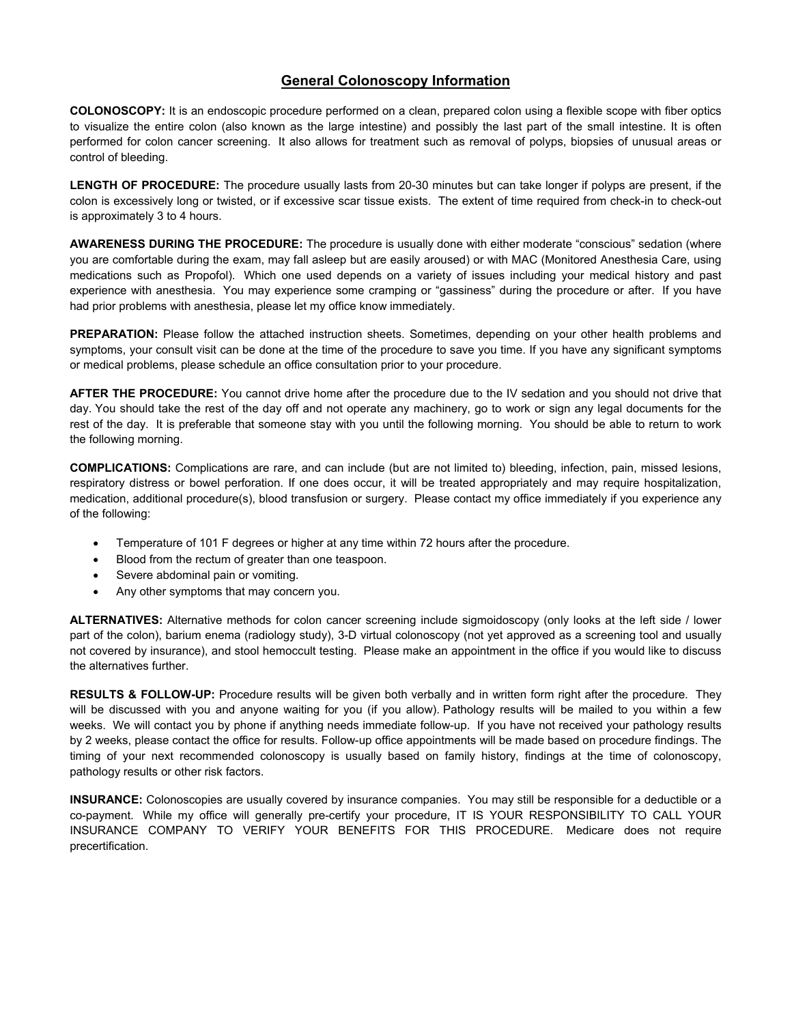## **General Colonoscopy Information**

**COLONOSCOPY:** It is an endoscopic procedure performed on a clean, prepared colon using a flexible scope with fiber optics to visualize the entire colon (also known as the large intestine) and possibly the last part of the small intestine. It is often performed for colon cancer screening. It also allows for treatment such as removal of polyps, biopsies of unusual areas or control of bleeding.

**LENGTH OF PROCEDURE:** The procedure usually lasts from 20-30 minutes but can take longer if polyps are present, if the colon is excessively long or twisted, or if excessive scar tissue exists. The extent of time required from check-in to check-out is approximately 3 to 4 hours.

**AWARENESS DURING THE PROCEDURE:** The procedure is usually done with either moderate "conscious" sedation (where you are comfortable during the exam, may fall asleep but are easily aroused) or with MAC (Monitored Anesthesia Care, using medications such as Propofol). Which one used depends on a variety of issues including your medical history and past experience with anesthesia. You may experience some cramping or "gassiness" during the procedure or after. If you have had prior problems with anesthesia, please let my office know immediately.

**PREPARATION:** Please follow the attached instruction sheets. Sometimes, depending on your other health problems and symptoms, your consult visit can be done at the time of the procedure to save you time. If you have any significant symptoms or medical problems, please schedule an office consultation prior to your procedure.

**AFTER THE PROCEDURE:** You cannot drive home after the procedure due to the IV sedation and you should not drive that day. You should take the rest of the day off and not operate any machinery, go to work or sign any legal documents for the rest of the day. It is preferable that someone stay with you until the following morning. You should be able to return to work the following morning.

**COMPLICATIONS:** Complications are rare, and can include (but are not limited to) bleeding, infection, pain, missed lesions, respiratory distress or bowel perforation. If one does occur, it will be treated appropriately and may require hospitalization, medication, additional procedure(s), blood transfusion or surgery. Please contact my office immediately if you experience any of the following:

- Temperature of 101 F degrees or higher at any time within 72 hours after the procedure.
- Blood from the rectum of greater than one teaspoon.
- Severe abdominal pain or vomiting.
- Any other symptoms that may concern you.

**ALTERNATIVES:** Alternative methods for colon cancer screening include sigmoidoscopy (only looks at the left side / lower part of the colon), barium enema (radiology study), 3-D virtual colonoscopy (not yet approved as a screening tool and usually not covered by insurance), and stool hemoccult testing. Please make an appointment in the office if you would like to discuss the alternatives further.

**RESULTS & FOLLOW-UP:** Procedure results will be given both verbally and in written form right after the procedure. They will be discussed with you and anyone waiting for you (if you allow). Pathology results will be mailed to you within a few weeks. We will contact you by phone if anything needs immediate follow-up. If you have not received your pathology results by 2 weeks, please contact the office for results. Follow-up office appointments will be made based on procedure findings. The timing of your next recommended colonoscopy is usually based on family history, findings at the time of colonoscopy, pathology results or other risk factors.

**INSURANCE:** Colonoscopies are usually covered by insurance companies. You may still be responsible for a deductible or a co-payment. While my office will generally pre-certify your procedure, IT IS YOUR RESPONSIBILITY TO CALL YOUR INSURANCE COMPANY TO VERIFY YOUR BENEFITS FOR THIS PROCEDURE. Medicare does not require precertification.